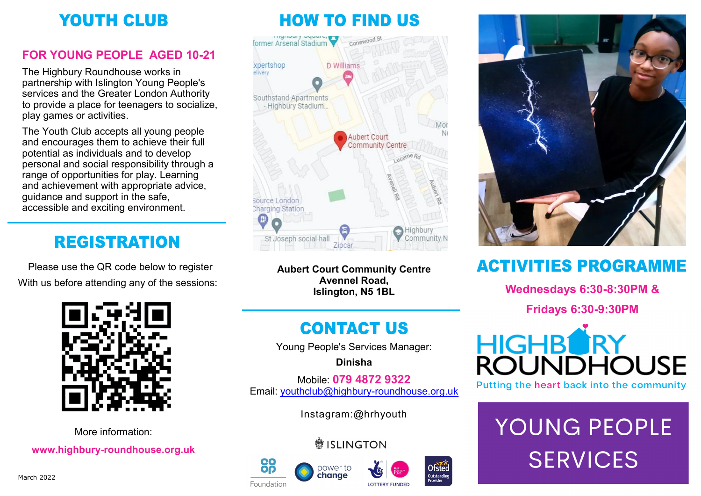## **YOUTH CLUB**

### **FOR YOUNG PEOPLE AGED 10-21**

The Highbury Roundhouse works in partnership with Islington Young People's services and the Greater London Authority to provide a place for teenagers to socialize, play games or activities.

The Youth Club accepts all young people and encourages them to achieve their full potential as individuals and to develop personal and social responsibility through a range of opportunities for play. Learning and achievement with appropriate advice, guidance and support in the safe, accessible and exciting environment.

## **REGISTRATION**

Please use the QR code below to register With us before attending any of the sessions:



More information: **www.highbury-roundhouse.org.uk**

## **HOW TO FIND US**



**Aubert Court Community Centre Avennel Road, Islington, N5 1BL**

## **CONTACT US**

Young People's Services Manager:

**Dinisha**

Mobile: **079 4872 9322** Email: [youthclub@highbury](mailto:youthclub@highbury-roundhouse.org.uk)-roundhouse.org.uk

Instagram:@hrhyouth

### **●ISLINGTON**









## **ACTIVITIES PROGRAMME**

**Wednesdays 6:30-8:30PM &**

**Fridays 6:30-9:30PM**



Putting the heart back into the community

## YOUNG PEOPLE **SERVICES**